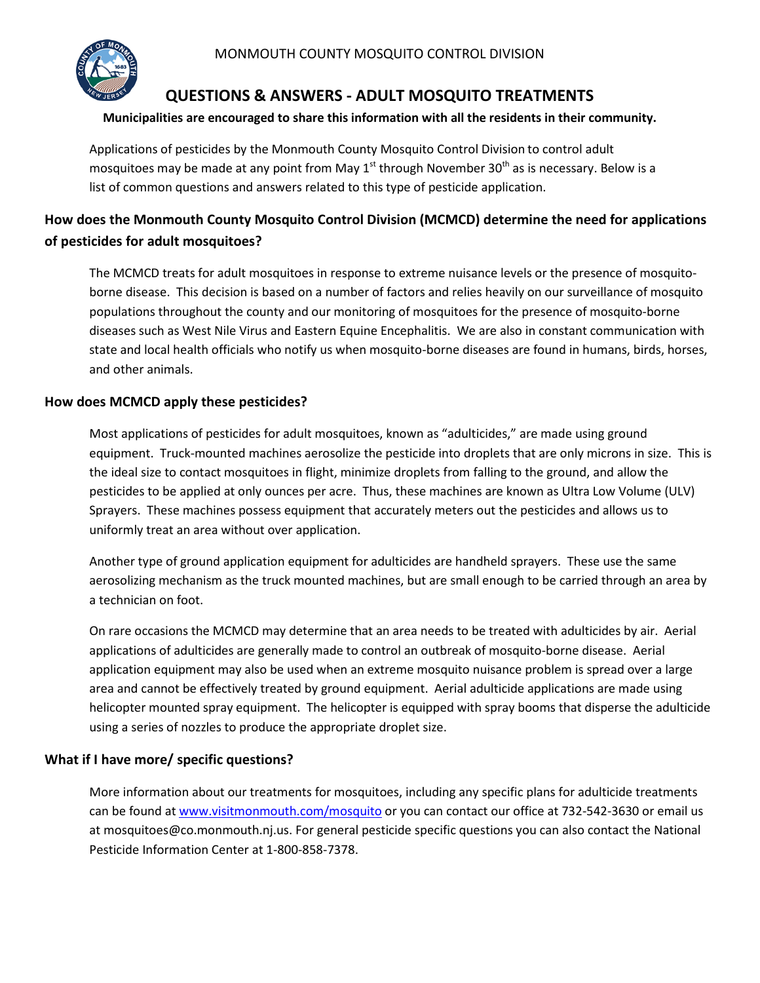

# **QUESTIONS & ANSWERS - ADULT MOSQUITO TREATMENTS**

### **Municipalities are encouraged to share this information with all the residents in their community.**

Applications of pesticides by the Monmouth County Mosquito Control Division to control adult mosquitoes may be made at any point from May  $1<sup>st</sup>$  through November 30<sup>th</sup> as is necessary. Below is a list of common questions and answers related to this type of pesticide application.

# **How does the Monmouth County Mosquito Control Division (MCMCD) determine the need for applications of pesticides for adult mosquitoes?**

The MCMCD treats for adult mosquitoes in response to extreme nuisance levels or the presence of mosquitoborne disease. This decision is based on a number of factors and relies heavily on our surveillance of mosquito populations throughout the county and our monitoring of mosquitoes for the presence of mosquito-borne diseases such as West Nile Virus and Eastern Equine Encephalitis. We are also in constant communication with state and local health officials who notify us when mosquito-borne diseases are found in humans, birds, horses, and other animals.

## **How does MCMCD apply these pesticides?**

Most applications of pesticides for adult mosquitoes, known as "adulticides," are made using ground equipment. Truck-mounted machines aerosolize the pesticide into droplets that are only microns in size. This is the ideal size to contact mosquitoes in flight, minimize droplets from falling to the ground, and allow the pesticides to be applied at only ounces per acre. Thus, these machines are known as Ultra Low Volume (ULV) Sprayers. These machines possess equipment that accurately meters out the pesticides and allows us to uniformly treat an area without over application.

Another type of ground application equipment for adulticides are handheld sprayers. These use the same aerosolizing mechanism as the truck mounted machines, but are small enough to be carried through an area by a technician on foot.

On rare occasions the MCMCD may determine that an area needs to be treated with adulticides by air. Aerial applications of adulticides are generally made to control an outbreak of mosquito-borne disease. Aerial application equipment may also be used when an extreme mosquito nuisance problem is spread over a large area and cannot be effectively treated by ground equipment. Aerial adulticide applications are made using helicopter mounted spray equipment. The helicopter is equipped with spray booms that disperse the adulticide using a series of nozzles to produce the appropriate droplet size.

## **What if I have more/ specific questions?**

More information about our treatments for mosquitoes, including any specific plans for adulticide treatments can be found at [www.visitmonmouth.com/mosquito](http://www.visitmonmouth.com/mosquito) or you can contact our office at 732-542-3630 or email us at mosquitoes@co.monmouth.nj.us. For general pesticide specific questions you can also contact the National Pesticide Information Center at 1-800-858-7378.